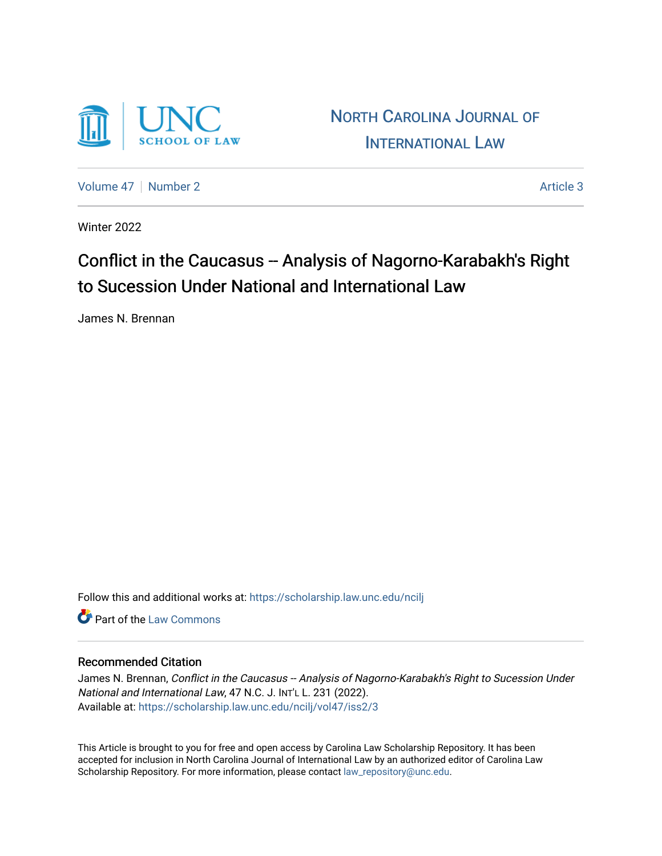

NORTH C[AROLINA](https://scholarship.law.unc.edu/ncilj) JOURNAL OF I[NTERNATIONAL](https://scholarship.law.unc.edu/ncilj) LAW

[Volume 47](https://scholarship.law.unc.edu/ncilj/vol47) | [Number 2](https://scholarship.law.unc.edu/ncilj/vol47/iss2) Article 3

Winter 2022

# Conflict in the Caucasus -- Analysis of Nagorno-Karabakh's Right to Sucession Under National and International Law

James N. Brennan

Follow this and additional works at: [https://scholarship.law.unc.edu/ncilj](https://scholarship.law.unc.edu/ncilj?utm_source=scholarship.law.unc.edu%2Fncilj%2Fvol47%2Fiss2%2F3&utm_medium=PDF&utm_campaign=PDFCoverPages)

**C** Part of the [Law Commons](https://network.bepress.com/hgg/discipline/578?utm_source=scholarship.law.unc.edu%2Fncilj%2Fvol47%2Fiss2%2F3&utm_medium=PDF&utm_campaign=PDFCoverPages)

## Recommended Citation

James N. Brennan, Conflict in the Caucasus -- Analysis of Nagorno-Karabakh's Right to Sucession Under National and International Law, 47 N.C. J. INT'L L. 231 (2022). Available at: [https://scholarship.law.unc.edu/ncilj/vol47/iss2/3](https://scholarship.law.unc.edu/ncilj/vol47/iss2/3?utm_source=scholarship.law.unc.edu%2Fncilj%2Fvol47%2Fiss2%2F3&utm_medium=PDF&utm_campaign=PDFCoverPages)

This Article is brought to you for free and open access by Carolina Law Scholarship Repository. It has been accepted for inclusion in North Carolina Journal of International Law by an authorized editor of Carolina Law Scholarship Repository. For more information, please contact [law\\_repository@unc.edu.](mailto:law_repository@unc.edu)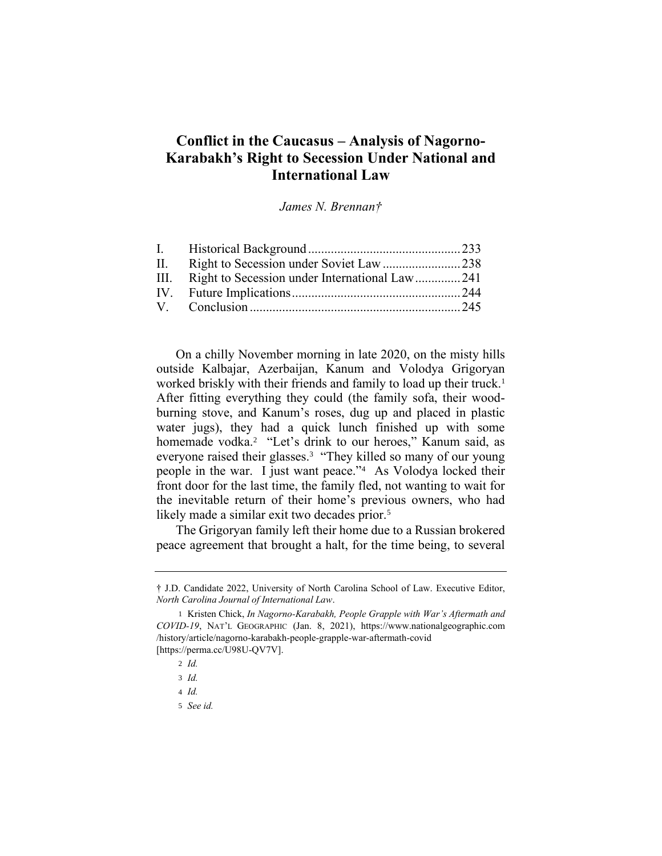# **Conflict in the Caucasus – Analysis of Nagorno-Karabakh's Right to Secession Under National and International Law**

<span id="page-1-0"></span>*James N. Brennan†*

| III. Right to Secession under International Law241 |  |
|----------------------------------------------------|--|
|                                                    |  |
|                                                    |  |
|                                                    |  |

On a chilly November morning in late 2020, on the misty hills outside Kalbajar, Azerbaijan, Kanum and Volodya Grigoryan worked briskly with their friends and family to load up their truck.<sup>1</sup> After fitting everything they could (the family sofa, their woodburning stove, and Kanum's roses, dug up and placed in plastic water jugs), they had a quick lunch finished up with some homemade vodka.<sup>2</sup> "Let's drink to our heroes," Kanum said, as everyone raised their glasses.<sup>3</sup> "They killed so many of our young people in the war. I just want peace."<sup>4</sup> As Volodya locked their front door for the last time, the family fled, not wanting to wait for the inevitable return of their home's previous owners, who had likely made a similar exit two decades prior.<sup>5</sup>

The Grigoryan family left their home due to a Russian brokered peace agreement that brought a halt, for the time being, to several

<sup>†</sup> J.D. Candidate 2022, University of North Carolina School of Law. Executive Editor, *North Carolina Journal of International Law*.

<sup>1</sup> Kristen Chick, *In Nagorno-Karabakh, People Grapple with War's Aftermath and COVID-19*, NAT'L GEOGRAPHIC (Jan. 8, 2021), https://www.nationalgeographic.com /history/article/nagorno-karabakh-people-grapple-war-aftermath-covid [https://perma.cc/U98U-OV7V].

<sup>2</sup> *Id.*

<sup>3</sup> *Id.*

<sup>4</sup> *Id.*

<sup>5</sup> *See id.*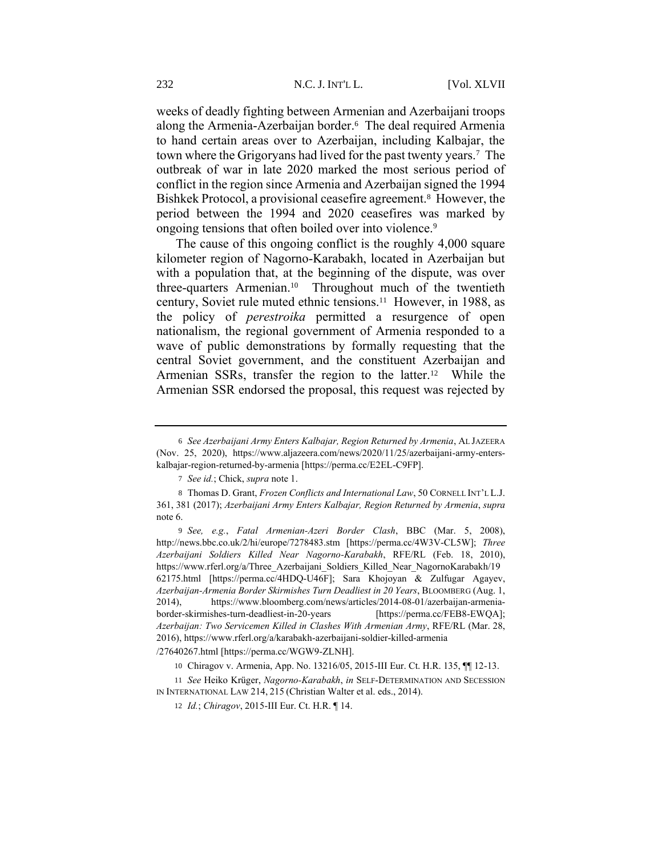<span id="page-2-0"></span>weeks of deadly fighting between Armenian and Azerbaijani troops along the Armenia-Azerbaijan border.<sup>6</sup> The deal required Armenia to hand certain areas over to Azerbaijan, including Kalbajar, the town where the Grigoryans had lived for the past twenty years.<sup>7</sup> The outbreak of war in late 2020 marked the most serious period of conflict in the region since Armenia and Azerbaijan signed the 1994 Bishkek Protocol, a provisional ceasefire agreement.<sup>8</sup> However, the period between the 1994 and 2020 ceasefires was marked by ongoing tensions that often boiled over into violence.<sup>9</sup>

<span id="page-2-2"></span><span id="page-2-1"></span>The cause of this ongoing conflict is the roughly 4,000 square kilometer region of Nagorno-Karabakh, located in Azerbaijan but with a population that, at the beginning of the dispute, was over three-quarters Armenian.<sup>10</sup> Throughout much of the twentieth century, Soviet rule muted ethnic tensions.<sup>11</sup> However, in 1988, as the policy of *perestroika* permitted a resurgence of open nationalism, the regional government of Armenia responded to a wave of public demonstrations by formally requesting that the central Soviet government, and the constituent Azerbaijan and Armenian SSRs, transfer the region to the latter.<sup>12</sup> While the Armenian SSR endorsed the proposal, this request was rejected by

/27640267.html [https://perma.cc/WGW9-ZLNH].

<sup>6</sup> *See Azerbaijani Army Enters Kalbajar, Region Returned by Armenia*, AL JAZEERA (Nov. 25, 2020), https://www.aljazeera.com/news/2020/11/25/azerbaijani-army-enterskalbajar-region-returned-by-armenia [https://perma.cc/E2EL-C9FP].

<sup>7</sup> *See id.*; Chick, *supra* not[e 1.](#page-1-0)

<sup>8</sup> Thomas D. Grant, *Frozen Conflicts and International Law*, 50 CORNELL INT'L L.J. 361, 381 (2017); *Azerbaijani Army Enters Kalbajar, Region Returned by Armenia*, *supra* not[e 6.](#page-2-0)

<sup>9</sup> *See, e.g.*, *Fatal Armenian-Azeri Border Clash*, BBC (Mar. 5, 2008), http://news.bbc.co.uk/2/hi/europe/7278483.stm [https://perma.cc/4W3V-CL5W]; *Three Azerbaijani Soldiers Killed Near Nagorno-Karabakh*, RFE/RL (Feb. 18, 2010), https://www.rferl.org/a/Three\_Azerbaijani\_Soldiers\_Killed\_Near\_NagornoKarabakh/19 62175.html [https://perma.cc/4HDQ-U46F]; Sara Khojoyan & Zulfugar Agayev, *Azerbaijan-Armenia Border Skirmishes Turn Deadliest in 20 Years*, BLOOMBERG (Aug. 1, 2014), https://www.bloomberg.com/news/articles/2014-08-01/azerbaijan-armeniaborder-skirmishes-turn-deadliest-in-20-years [https://perma.cc/FEB8-EWQA]; *Azerbaijan: Two Servicemen Killed in Clashes With Armenian Army*, RFE/RL (Mar. 28, 2016), https://www.rferl.org/a/karabakh-azerbaijani-soldier-killed-armenia

<sup>10</sup> Chiragov v. Armenia, App. No. 13216/05, 2015-III Eur. Ct. H.R. 135, ¶¶ 12-13.

<sup>11</sup> *See* Heiko Krüger, *Nagorno-Karabakh*, *in* SELF-DETERMINATION AND SECESSION IN INTERNATIONAL LAW 214, 215 (Christian Walter et al. eds., 2014).

<sup>12</sup> *Id.*; *Chiragov*, 2015-III Eur. Ct. H.R. ¶ 14.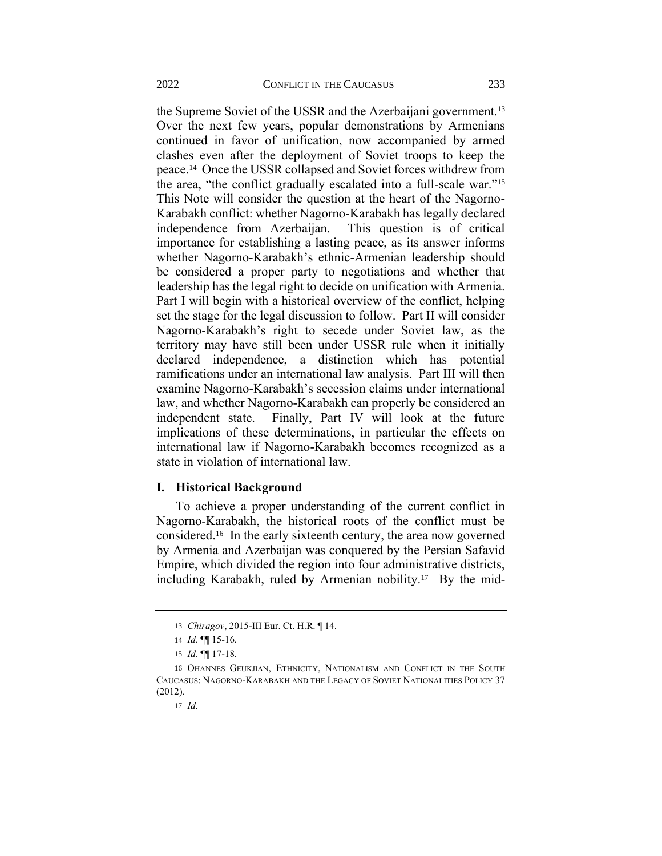the Supreme Soviet of the USSR and the Azerbaijani government.<sup>13</sup> Over the next few years, popular demonstrations by Armenians continued in favor of unification, now accompanied by armed clashes even after the deployment of Soviet troops to keep the peace.<sup>14</sup> Once the USSR collapsed and Soviet forces withdrew from the area, "the conflict gradually escalated into a full-scale war."<sup>15</sup> This Note will consider the question at the heart of the Nagorno-Karabakh conflict: whether Nagorno-Karabakh has legally declared independence from Azerbaijan. This question is of critical importance for establishing a lasting peace, as its answer informs whether Nagorno-Karabakh's ethnic-Armenian leadership should be considered a proper party to negotiations and whether that leadership has the legal right to decide on unification with Armenia. Part I will begin with a historical overview of the conflict, helping set the stage for the legal discussion to follow. Part II will consider Nagorno-Karabakh's right to secede under Soviet law, as the territory may have still been under USSR rule when it initially declared independence, a distinction which has potential ramifications under an international law analysis. Part III will then examine Nagorno-Karabakh's secession claims under international law, and whether Nagorno-Karabakh can properly be considered an independent state. Finally, Part IV will look at the future implications of these determinations, in particular the effects on international law if Nagorno-Karabakh becomes recognized as a state in violation of international law.

#### **I. Historical Background**

<span id="page-3-0"></span>To achieve a proper understanding of the current conflict in Nagorno-Karabakh, the historical roots of the conflict must be considered.<sup>16</sup> In the early sixteenth century, the area now governed by Armenia and Azerbaijan was conquered by the Persian Safavid Empire, which divided the region into four administrative districts, including Karabakh, ruled by Armenian nobility.<sup>17</sup> By the mid-

<sup>13</sup> *Chiragov*, 2015-III Eur. Ct. H.R. ¶ 14.

<sup>14</sup> *Id.* ¶¶ 15-16.

<sup>15</sup> *Id.* ¶¶ 17-18.

<sup>16</sup> OHANNES GEUKJIAN, ETHNICITY, NATIONALISM AND CONFLICT IN THE SOUTH CAUCASUS: NAGORNO-KARABAKH AND THE LEGACY OF SOVIET NATIONALITIES POLICY 37 (2012).

<sup>17</sup> *Id*.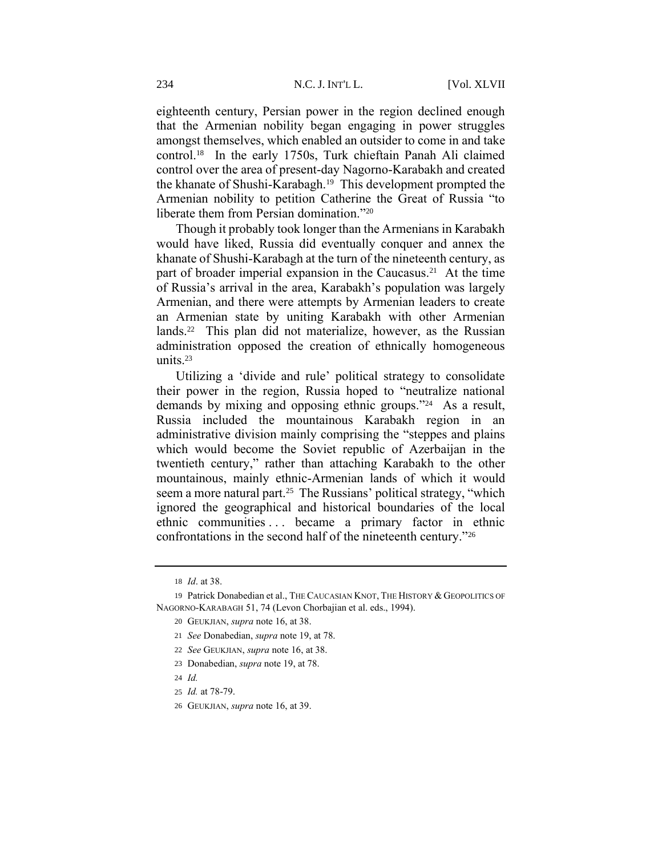eighteenth century, Persian power in the region declined enough that the Armenian nobility began engaging in power struggles amongst themselves, which enabled an outsider to come in and take control.<sup>18</sup> In the early 1750s, Turk chieftain Panah Ali claimed control over the area of present-day Nagorno-Karabakh and created the khanate of Shushi-Karabagh.<sup>19</sup> This development prompted the Armenian nobility to petition Catherine the Great of Russia "to liberate them from Persian domination."<sup>20</sup>

<span id="page-4-0"></span>Though it probably took longer than the Armenians in Karabakh would have liked, Russia did eventually conquer and annex the khanate of Shushi-Karabagh at the turn of the nineteenth century, as part of broader imperial expansion in the Caucasus.<sup>21</sup> At the time of Russia's arrival in the area, Karabakh's population was largely Armenian, and there were attempts by Armenian leaders to create an Armenian state by uniting Karabakh with other Armenian lands.<sup>22</sup> This plan did not materialize, however, as the Russian administration opposed the creation of ethnically homogeneous units. $23$ 

Utilizing a 'divide and rule' political strategy to consolidate their power in the region, Russia hoped to "neutralize national demands by mixing and opposing ethnic groups."<sup>24</sup> As a result, Russia included the mountainous Karabakh region in an administrative division mainly comprising the "steppes and plains which would become the Soviet republic of Azerbaijan in the twentieth century," rather than attaching Karabakh to the other mountainous, mainly ethnic-Armenian lands of which it would seem a more natural part.<sup>25</sup> The Russians' political strategy, "which ignored the geographical and historical boundaries of the local ethnic communities . . . became a primary factor in ethnic confrontations in the second half of the nineteenth century."<sup>26</sup>

- 24 *Id.*
- 25 *Id.* at 78-79.

<sup>18</sup> *Id*. at 38.

<sup>19</sup> Patrick Donabedian et al., THE CAUCASIAN KNOT, THE HISTORY & GEOPOLITICS OF NAGORNO-KARABAGH 51, 74 (Levon Chorbajian et al. eds., 1994).

<sup>20</sup> GEUKJIAN, *supra* not[e 16,](#page-3-0) at 38.

<sup>21</sup> *See* Donabedian, *supra* not[e 19,](#page-4-0) at 78.

<sup>22</sup> *See* GEUKJIAN, *supra* not[e 16,](#page-3-0) at 38.

<sup>23</sup> Donabedian, *supra* note [19,](#page-4-0) at 78.

<sup>26</sup> GEUKJIAN, *supra* not[e 16,](#page-3-0) at 39.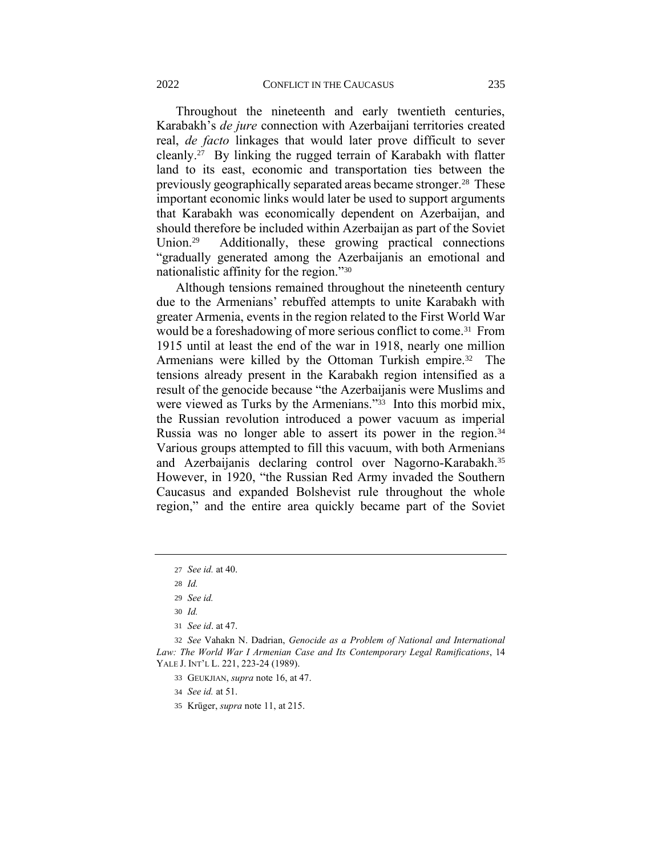Throughout the nineteenth and early twentieth centuries, Karabakh's *de jure* connection with Azerbaijani territories created real, *de facto* linkages that would later prove difficult to sever cleanly.<sup>27</sup> By linking the rugged terrain of Karabakh with flatter land to its east, economic and transportation ties between the previously geographically separated areas became stronger.<sup>28</sup> These important economic links would later be used to support arguments that Karabakh was economically dependent on Azerbaijan, and should therefore be included within Azerbaijan as part of the Soviet Union.<sup>29</sup> Additionally, these growing practical connections "gradually generated among the Azerbaijanis an emotional and nationalistic affinity for the region."<sup>30</sup>

Although tensions remained throughout the nineteenth century due to the Armenians' rebuffed attempts to unite Karabakh with greater Armenia, events in the region related to the First World War would be a foreshadowing of more serious conflict to come.<sup>31</sup> From 1915 until at least the end of the war in 1918, nearly one million Armenians were killed by the Ottoman Turkish empire.<sup>32</sup> The tensions already present in the Karabakh region intensified as a result of the genocide because "the Azerbaijanis were Muslims and were viewed as Turks by the Armenians."<sup>33</sup> Into this morbid mix, the Russian revolution introduced a power vacuum as imperial Russia was no longer able to assert its power in the region.<sup>34</sup> Various groups attempted to fill this vacuum, with both Armenians and Azerbaijanis declaring control over Nagorno-Karabakh.<sup>35</sup> However, in 1920, "the Russian Red Army invaded the Southern Caucasus and expanded Bolshevist rule throughout the whole region," and the entire area quickly became part of the Soviet

- 34 *See id.* at 51.
- 35 Krüger, *supra* note [11,](#page-2-1) at 215.

<sup>27</sup> *See id.* at 40.

<sup>28</sup> *Id.*

<sup>29</sup> *See id.*

<sup>30</sup> *Id.*

<sup>31</sup> *See id*. at 47.

<sup>32</sup> *See* Vahakn N. Dadrian, *Genocide as a Problem of National and International Law: The World War I Armenian Case and Its Contemporary Legal Ramifications*, 14 YALE J. INT'L L. 221, 223-24 (1989).

<sup>33</sup> GEUKJIAN, *supra* not[e 16,](#page-3-0) at 47.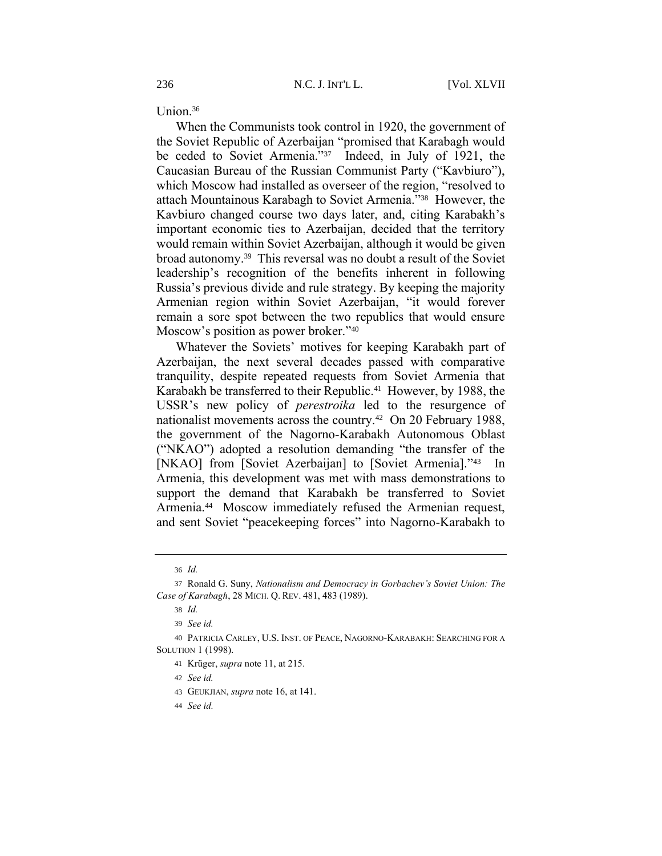Union.<sup>36</sup>

When the Communists took control in 1920, the government of the Soviet Republic of Azerbaijan "promised that Karabagh would be ceded to Soviet Armenia."<sup>37</sup> Indeed, in July of 1921, the Caucasian Bureau of the Russian Communist Party ("Kavbiuro"), which Moscow had installed as overseer of the region, "resolved to attach Mountainous Karabagh to Soviet Armenia."<sup>38</sup> However, the Kavbiuro changed course two days later, and, citing Karabakh's important economic ties to Azerbaijan, decided that the territory would remain within Soviet Azerbaijan, although it would be given broad autonomy.<sup>39</sup> This reversal was no doubt a result of the Soviet leadership's recognition of the benefits inherent in following Russia's previous divide and rule strategy. By keeping the majority Armenian region within Soviet Azerbaijan, "it would forever remain a sore spot between the two republics that would ensure Moscow's position as power broker."<sup>40</sup>

Whatever the Soviets' motives for keeping Karabakh part of Azerbaijan, the next several decades passed with comparative tranquility, despite repeated requests from Soviet Armenia that Karabakh be transferred to their Republic.<sup>41</sup> However, by 1988, the USSR's new policy of *perestroika* led to the resurgence of nationalist movements across the country.<sup>42</sup> On 20 February 1988, the government of the Nagorno-Karabakh Autonomous Oblast ("NKAO") adopted a resolution demanding "the transfer of the [NKAO] from [Soviet Azerbaijan] to [Soviet Armenia]."43 In Armenia, this development was met with mass demonstrations to support the demand that Karabakh be transferred to Soviet Armenia.<sup>44</sup> Moscow immediately refused the Armenian request, and sent Soviet "peacekeeping forces" into Nagorno-Karabakh to

- 42 *See id.*
- 43 GEUKJIAN, *supra* not[e 16,](#page-3-0) at 141.
- 44 *See id.*

<sup>36</sup> *Id.*

<sup>37</sup> Ronald G. Suny, *Nationalism and Democracy in Gorbachev's Soviet Union: The Case of Karabagh*, 28 MICH. Q. REV. 481, 483 (1989).

<sup>38</sup> *Id.*

<sup>39</sup> *See id.*

<sup>40</sup> PATRICIA CARLEY, U.S. INST. OF PEACE, NAGORNO-KARABAKH: SEARCHING FOR A SOLUTION 1 (1998).

<sup>41</sup> Krüger, *supra* note [11,](#page-2-1) at 215.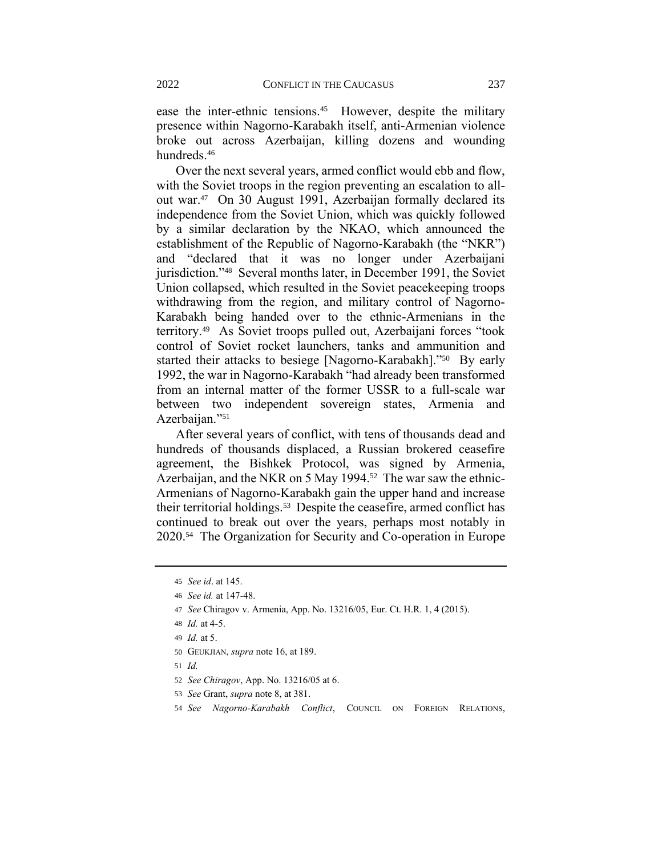ease the inter-ethnic tensions.<sup>45</sup> However, despite the military presence within Nagorno-Karabakh itself, anti-Armenian violence broke out across Azerbaijan, killing dozens and wounding hundreds. 46

Over the next several years, armed conflict would ebb and flow, with the Soviet troops in the region preventing an escalation to allout war.<sup>47</sup> On 30 August 1991, Azerbaijan formally declared its independence from the Soviet Union, which was quickly followed by a similar declaration by the NKAO, which announced the establishment of the Republic of Nagorno-Karabakh (the "NKR") and "declared that it was no longer under Azerbaijani jurisdiction."<sup>48</sup> Several months later, in December 1991, the Soviet Union collapsed, which resulted in the Soviet peacekeeping troops withdrawing from the region, and military control of Nagorno-Karabakh being handed over to the ethnic-Armenians in the territory.<sup>49</sup> As Soviet troops pulled out, Azerbaijani forces "took control of Soviet rocket launchers, tanks and ammunition and started their attacks to besiege [Nagorno-Karabakh]."<sup>50</sup> By early 1992, the war in Nagorno-Karabakh "had already been transformed from an internal matter of the former USSR to a full-scale war between two independent sovereign states, Armenia and Azerbaijan."<sup>51</sup>

After several years of conflict, with tens of thousands dead and hundreds of thousands displaced, a Russian brokered ceasefire agreement, the Bishkek Protocol, was signed by Armenia, Azerbaijan, and the NKR on 5 May 1994.<sup>52</sup> The war saw the ethnic-Armenians of Nagorno-Karabakh gain the upper hand and increase their territorial holdings.<sup>53</sup> Despite the ceasefire, armed conflict has continued to break out over the years, perhaps most notably in 2020.<sup>54</sup> The Organization for Security and Co-operation in Europe

- 51 *Id.*
- 52 *See Chiragov*, App. No. 13216/05 at 6.
- 53 *See* Grant, *supra* not[e 8,](#page-2-2) at 381.
- 54 *See Nagorno-Karabakh Conflict*, COUNCIL ON FOREIGN RELATIONS,

<sup>45</sup> *See id*. at 145.

<sup>46</sup> *See id.* at 147-48.

<sup>47</sup> *See* Chiragov v. Armenia, App. No. 13216/05, Eur. Ct. H.R. 1, 4 (2015).

<sup>48</sup> *Id.* at 4-5.

<sup>49</sup> *Id.* at 5.

<sup>50</sup> GEUKJIAN, *supra* not[e 16,](#page-3-0) at 189.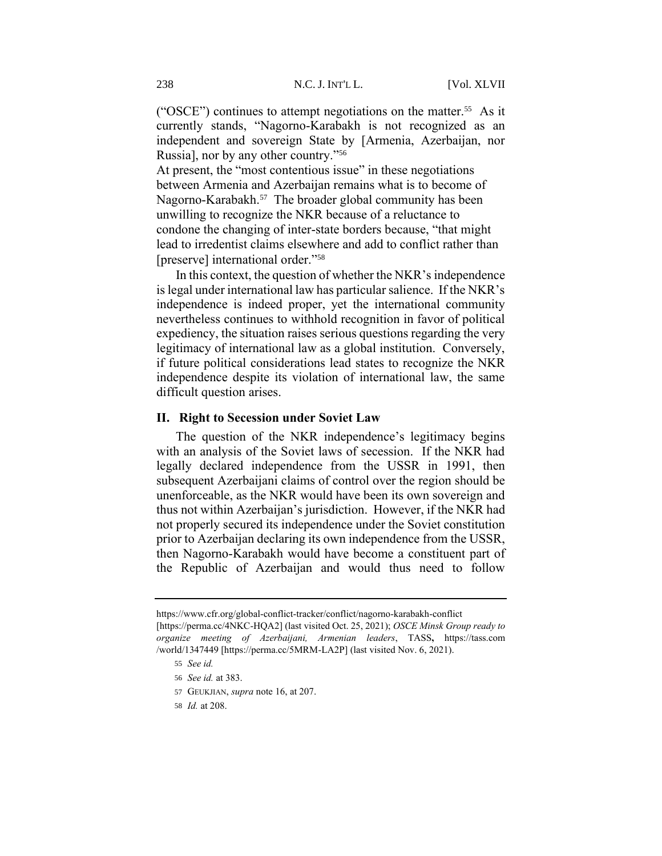("OSCE") continues to attempt negotiations on the matter.<sup>55</sup> As it currently stands, "Nagorno-Karabakh is not recognized as an independent and sovereign State by [Armenia, Azerbaijan, nor Russia], nor by any other country."<sup>56</sup>

At present, the "most contentious issue" in these negotiations between Armenia and Azerbaijan remains what is to become of Nagorno-Karabakh.<sup>57</sup> The broader global community has been unwilling to recognize the NKR because of a reluctance to condone the changing of inter-state borders because, "that might lead to irredentist claims elsewhere and add to conflict rather than [preserve] international order."<sup>58</sup>

In this context, the question of whether the NKR's independence is legal under international law has particular salience. If the NKR's independence is indeed proper, yet the international community nevertheless continues to withhold recognition in favor of political expediency, the situation raises serious questions regarding the very legitimacy of international law as a global institution. Conversely, if future political considerations lead states to recognize the NKR independence despite its violation of international law, the same difficult question arises.

### **II. Right to Secession under Soviet Law**

The question of the NKR independence's legitimacy begins with an analysis of the Soviet laws of secession. If the NKR had legally declared independence from the USSR in 1991, then subsequent Azerbaijani claims of control over the region should be unenforceable, as the NKR would have been its own sovereign and thus not within Azerbaijan's jurisdiction. However, if the NKR had not properly secured its independence under the Soviet constitution prior to Azerbaijan declaring its own independence from the USSR, then Nagorno-Karabakh would have become a constituent part of the Republic of Azerbaijan and would thus need to follow

https://www.cfr.org/global-conflict-tracker/conflict/nagorno-karabakh-conflict [https://perma.cc/4NKC-HQA2] (last visited Oct. 25, 2021); *OSCE Minsk Group ready to organize meeting of Azerbaijani, Armenian leaders*, TASS**,** https://tass.com /world/1347449 [https://perma.cc/5MRM-LA2P] (last visited Nov. 6, 2021).

<sup>55</sup> *See id.*

<sup>56</sup> *See id.* at 383.

<sup>57</sup> GEUKJIAN, *supra* not[e 16,](#page-3-0) at 207.

<sup>58</sup> *Id.* at 208.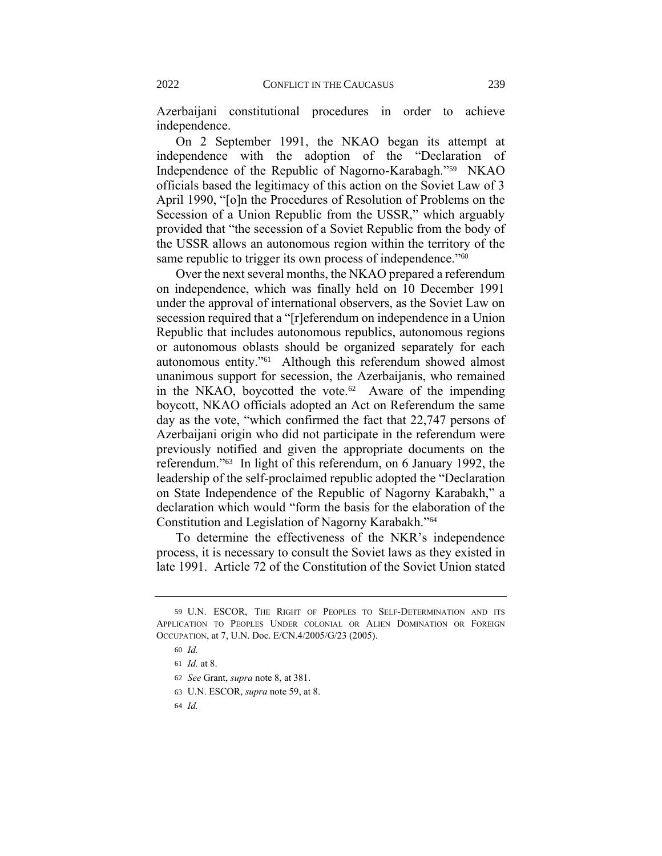Azerbaijani constitutional procedures in order to achieve independence.

<span id="page-9-0"></span>On 2 September 1991, the NKAO began its attempt at independence with the adoption of the "Declaration of Independence of the Republic of Nagorno-Karabagh."<sup>59</sup> NKAO officials based the legitimacy of this action on the Soviet Law of 3 April 1990, "[o]n the Procedures of Resolution of Problems on the Secession of a Union Republic from the USSR," which arguably provided that "the secession of a Soviet Republic from the body of the USSR allows an autonomous region within the territory of the same republic to trigger its own process of independence."<sup>60</sup>

Over the next several months, the NKAO prepared a referendum on independence, which was finally held on 10 December 1991 under the approval of international observers, as the Soviet Law on secession required that a "[r]eferendum on independence in a Union Republic that includes autonomous republics, autonomous regions or autonomous oblasts should be organized separately for each autonomous entity."<sup>61</sup> Although this referendum showed almost unanimous support for secession, the Azerbaijanis, who remained in the NKAO, boycotted the vote. $62$  Aware of the impending boycott, NKAO officials adopted an Act on Referendum the same day as the vote, "which confirmed the fact that 22,747 persons of Azerbaijani origin who did not participate in the referendum were previously notified and given the appropriate documents on the referendum."<sup>63</sup> In light of this referendum, on 6 January 1992, the leadership of the self-proclaimed republic adopted the "Declaration on State Independence of the Republic of Nagorny Karabakh," a declaration which would "form the basis for the elaboration of the Constitution and Legislation of Nagorny Karabakh."<sup>64</sup>

To determine the effectiveness of the NKR's independence process, it is necessary to consult the Soviet laws as they existed in late 1991. Article 72 of the Constitution of the Soviet Union stated

<sup>59</sup> U.N. ESCOR, THE RIGHT OF PEOPLES TO SELF-DETERMINATION AND ITS APPLICATION TO PEOPLES UNDER COLONIAL OR ALIEN DOMINATION OR FOREIGN OCCUPATION, at 7, U.N. Doc. E/CN.4/2005/G/23 (2005).

<sup>60</sup> *Id.*

<sup>61</sup> *Id.* at 8.

<sup>62</sup> *See* Grant, *supra* not[e 8,](#page-2-2) at 381.

<sup>63</sup> U.N. ESCOR, *supra* not[e 59,](#page-9-0) at 8.

<sup>64</sup> *Id.*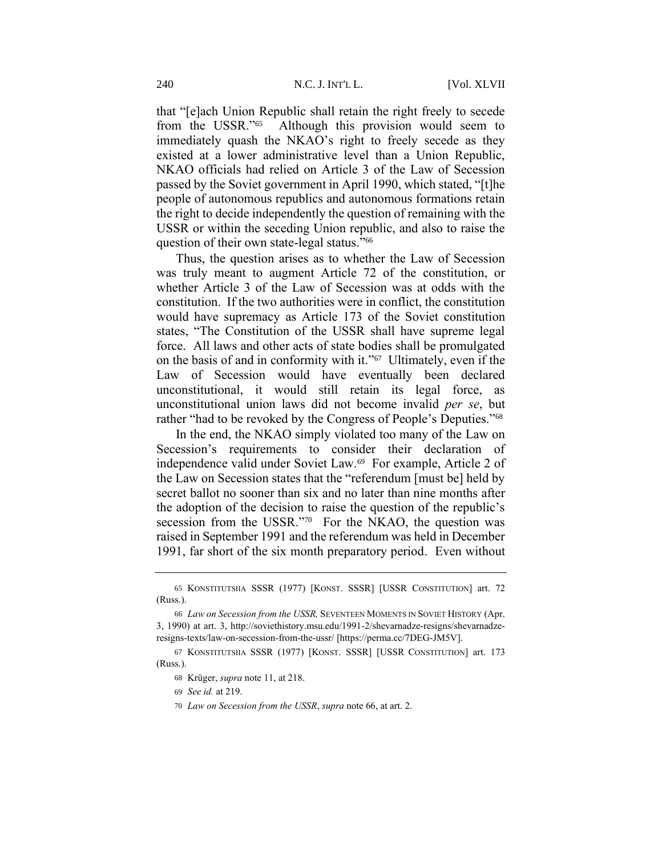that "[e]ach Union Republic shall retain the right freely to secede from the USSR."<sup>65</sup> Although this provision would seem to immediately quash the NKAO's right to freely secede as they existed at a lower administrative level than a Union Republic, NKAO officials had relied on Article 3 of the Law of Secession passed by the Soviet government in April 1990, which stated, "[t]he people of autonomous republics and autonomous formations retain the right to decide independently the question of remaining with the USSR or within the seceding Union republic, and also to raise the question of their own state-legal status."<sup>66</sup>

<span id="page-10-0"></span>Thus, the question arises as to whether the Law of Secession was truly meant to augment Article 72 of the constitution, or whether Article 3 of the Law of Secession was at odds with the constitution. If the two authorities were in conflict, the constitution would have supremacy as Article 173 of the Soviet constitution states, "The Constitution of the USSR shall have supreme legal force. All laws and other acts of state bodies shall be promulgated on the basis of and in conformity with it."<sup>67</sup> Ultimately, even if the Law of Secession would have eventually been declared unconstitutional, it would still retain its legal force, as unconstitutional union laws did not become invalid *per se*, but rather "had to be revoked by the Congress of People's Deputies."<sup>68</sup>

In the end, the NKAO simply violated too many of the Law on Secession's requirements to consider their declaration of independence valid under Soviet Law.<sup>69</sup> For example, Article 2 of the Law on Secession states that the "referendum [must be] held by secret ballot no sooner than six and no later than nine months after the adoption of the decision to raise the question of the republic's secession from the USSR."70 For the NKAO, the question was raised in September 1991 and the referendum was held in December 1991, far short of the six month preparatory period. Even without

<sup>65</sup> KONSTITUTSIIA SSSR (1977) [KONST. SSSR] [USSR CONSTITUTION] art. 72 (Russ.).

<sup>66</sup> *Law on Secession from the USSR,* SEVENTEEN MOMENTS IN SOVIET HISTORY (Apr. 3, 1990) at art. 3, http://soviethistory.msu.edu/1991-2/shevarnadze-resigns/shevarnadzeresigns-texts/law-on-secession-from-the-ussr/ [https://perma.cc/7DEG-JM5V].

<sup>67</sup> KONSTITUTSIIA SSSR (1977) [KONST. SSSR] [USSR CONSTITUTION] art. 173 (Russ.).

<sup>68</sup> Krüger, *supra* note [11,](#page-2-1) at 218.

<sup>69</sup> *See id.* at 219.

<sup>70</sup> *Law on Secession from the USSR*, *supra* not[e 66,](#page-10-0) at art. 2.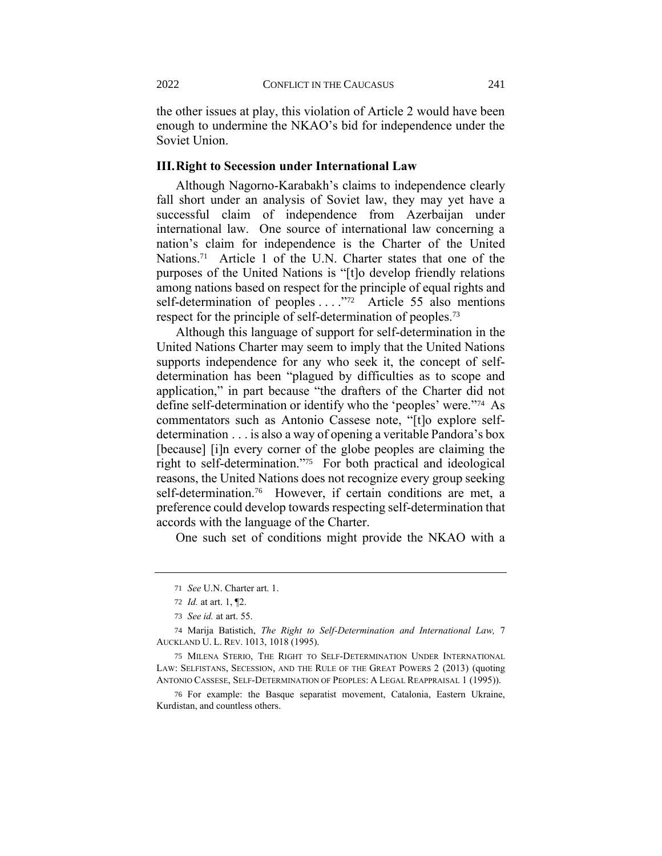the other issues at play, this violation of Article 2 would have been enough to undermine the NKAO's bid for independence under the Soviet Union.

#### **III.Right to Secession under International Law**

Although Nagorno-Karabakh's claims to independence clearly fall short under an analysis of Soviet law, they may yet have a successful claim of independence from Azerbaijan under international law. One source of international law concerning a nation's claim for independence is the Charter of the United Nations.<sup>71</sup> Article 1 of the U.N. Charter states that one of the purposes of the United Nations is "[t]o develop friendly relations among nations based on respect for the principle of equal rights and self-determination of peoples . . . ."<sup>72</sup> Article 55 also mentions respect for the principle of self-determination of peoples.<sup>73</sup>

Although this language of support for self-determination in the United Nations Charter may seem to imply that the United Nations supports independence for any who seek it, the concept of selfdetermination has been "plagued by difficulties as to scope and application," in part because "the drafters of the Charter did not define self-determination or identify who the 'peoples' were."<sup>74</sup> As commentators such as Antonio Cassese note, "[t]o explore selfdetermination . . . is also a way of opening a veritable Pandora's box [because] [i]n every corner of the globe peoples are claiming the right to self-determination."<sup>75</sup> For both practical and ideological reasons, the United Nations does not recognize every group seeking self-determination.<sup>76</sup> However, if certain conditions are met, a preference could develop towards respecting self-determination that accords with the language of the Charter.

One such set of conditions might provide the NKAO with a

<sup>71</sup> *See* U.N. Charter art. 1.

<sup>72</sup> *Id.* at art. 1, ¶2.

<sup>73</sup> *See id.* at art. 55.

<sup>74</sup> Marija Batistich, *The Right to Self-Determination and International Law,* 7 AUCKLAND U. L. REV. 1013, 1018 (1995).

<sup>75</sup> MILENA STERIO, THE RIGHT TO SELF-DETERMINATION UNDER INTERNATIONAL LAW: SELFISTANS, SECESSION, AND THE RULE OF THE GREAT POWERS 2 (2013) (quoting ANTONIO CASSESE, SELF-DETERMINATION OF PEOPLES: A LEGAL REAPPRAISAL 1 (1995)).

<sup>76</sup> For example: the Basque separatist movement, Catalonia, Eastern Ukraine, Kurdistan, and countless others.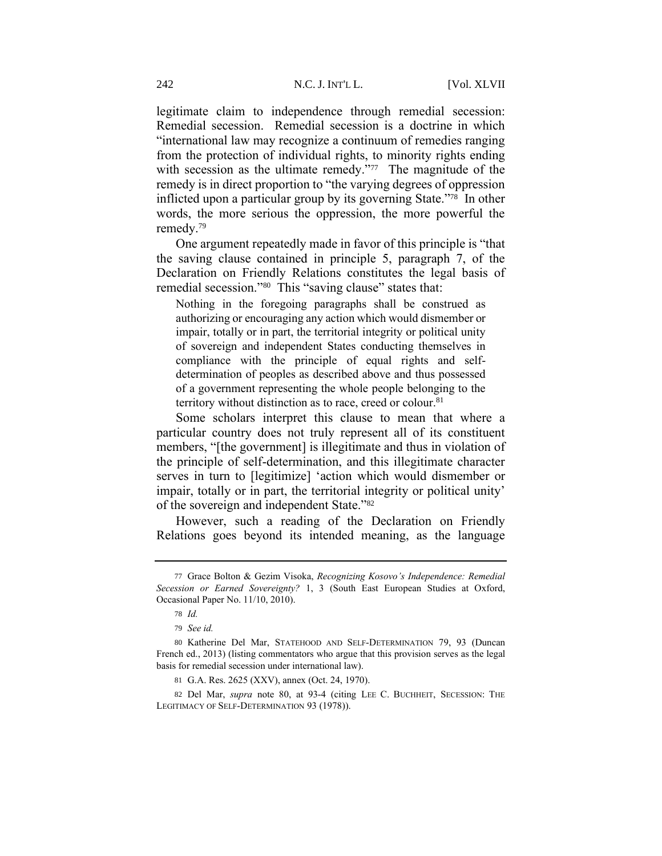legitimate claim to independence through remedial secession: Remedial secession. Remedial secession is a doctrine in which "international law may recognize a continuum of remedies ranging from the protection of individual rights, to minority rights ending with secession as the ultimate remedy."<sup>77</sup> The magnitude of the remedy is in direct proportion to "the varying degrees of oppression inflicted upon a particular group by its governing State."<sup>78</sup> In other words, the more serious the oppression, the more powerful the remedy.<sup>79</sup>

One argument repeatedly made in favor of this principle is "that the saving clause contained in principle 5, paragraph 7, of the Declaration on Friendly Relations constitutes the legal basis of remedial secession."<sup>80</sup> This "saving clause" states that:

<span id="page-12-0"></span>Nothing in the foregoing paragraphs shall be construed as authorizing or encouraging any action which would dismember or impair, totally or in part, the territorial integrity or political unity of sovereign and independent States conducting themselves in compliance with the principle of equal rights and selfdetermination of peoples as described above and thus possessed of a government representing the whole people belonging to the territory without distinction as to race, creed or colour.<sup>81</sup>

Some scholars interpret this clause to mean that where a particular country does not truly represent all of its constituent members, "[the government] is illegitimate and thus in violation of the principle of self-determination, and this illegitimate character serves in turn to [legitimize] 'action which would dismember or impair, totally or in part, the territorial integrity or political unity' of the sovereign and independent State."<sup>82</sup>

However, such a reading of the Declaration on Friendly Relations goes beyond its intended meaning, as the language

<sup>77</sup> Grace Bolton & Gezim Visoka, *Recognizing Kosovo's Independence: Remedial Secession or Earned Sovereignty?* 1, 3 (South East European Studies at Oxford, Occasional Paper No. 11/10, 2010).

<sup>78</sup> *Id.*

<sup>79</sup> *See id.*

<sup>80</sup> Katherine Del Mar, STATEHOOD AND SELF-DETERMINATION 79, 93 (Duncan French ed., 2013) (listing commentators who argue that this provision serves as the legal basis for remedial secession under international law).

<sup>81</sup> G.A. Res. 2625 (XXV), annex (Oct. 24, 1970).

<sup>82</sup> Del Mar, *supra* note [80,](#page-12-0) at 93-4 (citing LEE C. BUCHHEIT, SECESSION: THE LEGITIMACY OF SELF-DETERMINATION 93 (1978)).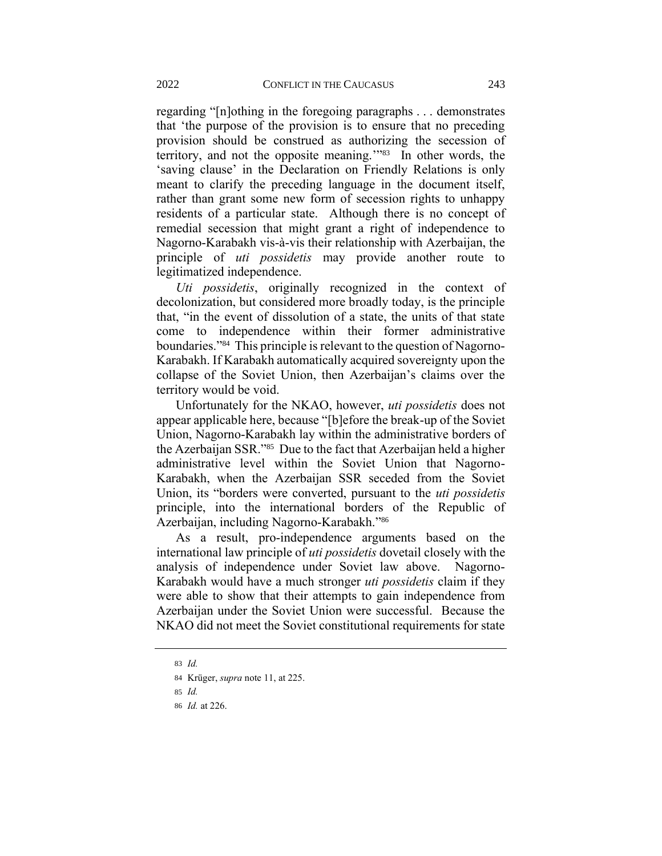regarding "[n]othing in the foregoing paragraphs . . . demonstrates that 'the purpose of the provision is to ensure that no preceding provision should be construed as authorizing the secession of territory, and not the opposite meaning.'" 83 In other words, the 'saving clause' in the Declaration on Friendly Relations is only meant to clarify the preceding language in the document itself, rather than grant some new form of secession rights to unhappy residents of a particular state. Although there is no concept of remedial secession that might grant a right of independence to Nagorno-Karabakh vis-à-vis their relationship with Azerbaijan, the principle of *uti possidetis* may provide another route to legitimatized independence.

*Uti possidetis*, originally recognized in the context of decolonization, but considered more broadly today, is the principle that, "in the event of dissolution of a state, the units of that state come to independence within their former administrative boundaries."<sup>84</sup> This principle is relevant to the question of Nagorno-Karabakh. If Karabakh automatically acquired sovereignty upon the collapse of the Soviet Union, then Azerbaijan's claims over the territory would be void.

Unfortunately for the NKAO, however, *uti possidetis* does not appear applicable here, because "[b]efore the break-up of the Soviet Union, Nagorno-Karabakh lay within the administrative borders of the Azerbaijan SSR."<sup>85</sup> Due to the fact that Azerbaijan held a higher administrative level within the Soviet Union that Nagorno-Karabakh, when the Azerbaijan SSR seceded from the Soviet Union, its "borders were converted, pursuant to the *uti possidetis* principle, into the international borders of the Republic of Azerbaijan, including Nagorno-Karabakh."<sup>86</sup>

As a result, pro-independence arguments based on the international law principle of *uti possidetis* dovetail closely with the analysis of independence under Soviet law above. Nagorno-Karabakh would have a much stronger *uti possidetis* claim if they were able to show that their attempts to gain independence from Azerbaijan under the Soviet Union were successful. Because the NKAO did not meet the Soviet constitutional requirements for state

<sup>83</sup> *Id.*

<sup>84</sup> Krüger, *supra* note [11,](#page-2-1) at 225.

<sup>85</sup> *Id.*

<sup>86</sup> *Id.* at 226.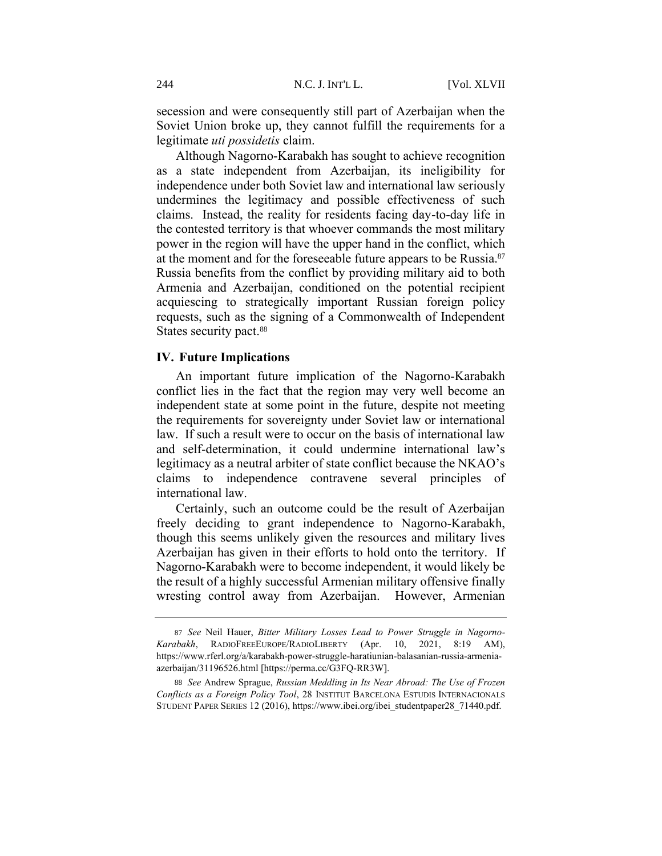secession and were consequently still part of Azerbaijan when the Soviet Union broke up, they cannot fulfill the requirements for a legitimate *uti possidetis* claim.

<span id="page-14-0"></span>Although Nagorno-Karabakh has sought to achieve recognition as a state independent from Azerbaijan, its ineligibility for independence under both Soviet law and international law seriously undermines the legitimacy and possible effectiveness of such claims. Instead, the reality for residents facing day-to-day life in the contested territory is that whoever commands the most military power in the region will have the upper hand in the conflict, which at the moment and for the foreseeable future appears to be Russia.<sup>87</sup> Russia benefits from the conflict by providing military aid to both Armenia and Azerbaijan, conditioned on the potential recipient acquiescing to strategically important Russian foreign policy requests, such as the signing of a Commonwealth of Independent States security pact.<sup>88</sup>

#### **IV. Future Implications**

An important future implication of the Nagorno-Karabakh conflict lies in the fact that the region may very well become an independent state at some point in the future, despite not meeting the requirements for sovereignty under Soviet law or international law. If such a result were to occur on the basis of international law and self-determination, it could undermine international law's legitimacy as a neutral arbiter of state conflict because the NKAO's claims to independence contravene several principles of international law.

Certainly, such an outcome could be the result of Azerbaijan freely deciding to grant independence to Nagorno-Karabakh, though this seems unlikely given the resources and military lives Azerbaijan has given in their efforts to hold onto the territory. If Nagorno-Karabakh were to become independent, it would likely be the result of a highly successful Armenian military offensive finally wresting control away from Azerbaijan. However, Armenian

<sup>87</sup> *See* Neil Hauer, *Bitter Military Losses Lead to Power Struggle in Nagorno-Karabakh*, RADIOFREEEUROPE/RADIOLIBERTY (Apr. 10, 2021, 8:19 AM), https://www.rferl.org/a/karabakh-power-struggle-haratiunian-balasanian-russia-armeniaazerbaijan/31196526.html [https://perma.cc/G3FQ-RR3W].

<sup>88</sup> *See* Andrew Sprague, *Russian Meddling in Its Near Abroad: The Use of Frozen Conflicts as a Foreign Policy Tool*, 28 INSTITUT BARCELONA ESTUDIS INTERNACIONALS STUDENT PAPER SERIES 12 (2016), https://www.ibei.org/ibei\_studentpaper28\_71440.pdf.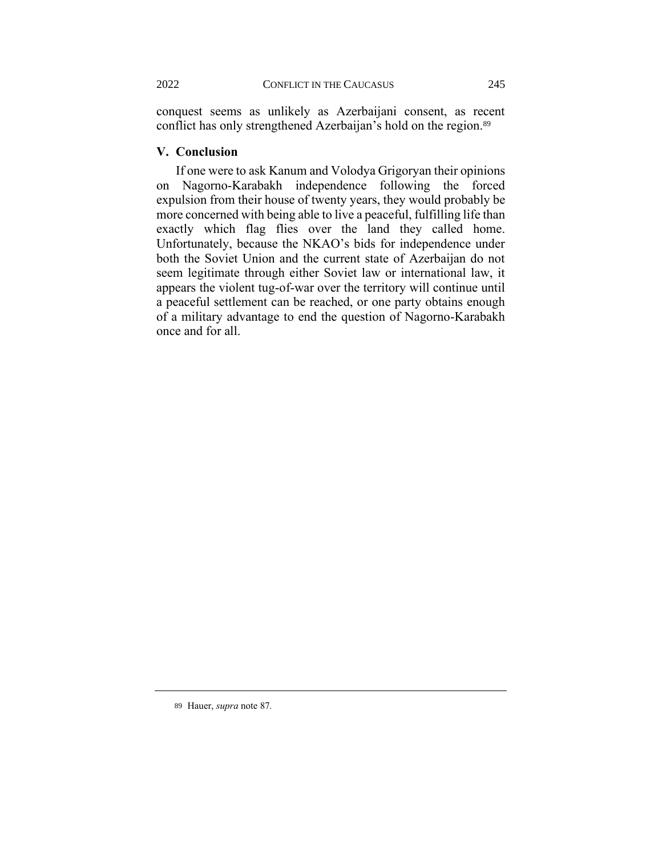conquest seems as unlikely as Azerbaijani consent, as recent conflict has only strengthened Azerbaijan's hold on the region.<sup>89</sup>

#### **V. Conclusion**

If one were to ask Kanum and Volodya Grigoryan their opinions on Nagorno-Karabakh independence following the forced expulsion from their house of twenty years, they would probably be more concerned with being able to live a peaceful, fulfilling life than exactly which flag flies over the land they called home. Unfortunately, because the NKAO's bids for independence under both the Soviet Union and the current state of Azerbaijan do not seem legitimate through either Soviet law or international law, it appears the violent tug-of-war over the territory will continue until a peaceful settlement can be reached, or one party obtains enough of a military advantage to end the question of Nagorno-Karabakh once and for all.

<sup>89</sup> Hauer, *supra* not[e 87](#page-14-0)*.*